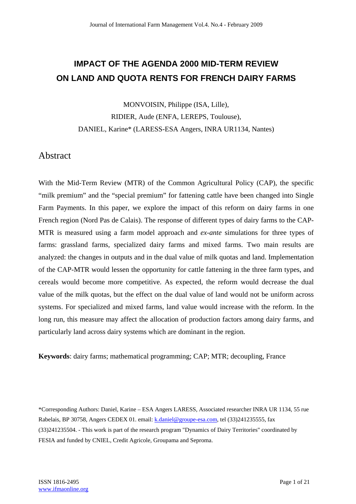# **IMPACT OF THE AGENDA 2000 MID-TERM REVIEW ON LAND AND QUOTA RENTS FOR FRENCH DAIRY FARMS**

MONVOISIN, Philippe (ISA, Lille), RIDIER, Aude (ENFA, LEREPS, Toulouse), DANIEL, Karine\* (LARESS-ESA Angers, INRA UR1134, Nantes)

# Abstract

With the Mid-Term Review (MTR) of the Common Agricultural Policy (CAP), the specific "milk premium" and the "special premium" for fattening cattle have been changed into Single Farm Payments. In this paper, we explore the impact of this reform on dairy farms in one French region (Nord Pas de Calais). The response of different types of dairy farms to the CAP-MTR is measured using a farm model approach and *ex-ante* simulations for three types of farms: grassland farms, specialized dairy farms and mixed farms. Two main results are analyzed: the changes in outputs and in the dual value of milk quotas and land. Implementation of the CAP-MTR would lessen the opportunity for cattle fattening in the three farm types, and cereals would become more competitive. As expected, the reform would decrease the dual value of the milk quotas, but the effect on the dual value of land would not be uniform across systems. For specialized and mixed farms, land value would increase with the reform. In the long run, this measure may affect the allocation of production factors among dairy farms, and particularly land across dairy systems which are dominant in the region.

**Keywords**: dairy farms; mathematical programming; CAP; MTR; decoupling, France

\*Corresponding Authors: Daniel, Karine – ESA Angers LARESS, Associated researcher INRA UR 1134, 55 rue Rabelais, BP 30758, Angers CEDEX 01. email: k.daniel@groupe-esa.com, tel (33)241235555, fax (33)241235504. - This work is part of the research program "Dynamics of Dairy Territories" coordinated by FESIA and funded by CNIEL, Credit Agricole, Groupama and Seproma.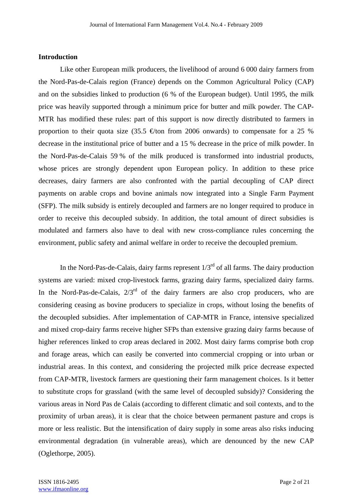### **Introduction**

 Like other European milk producers, the livelihood of around 6 000 dairy farmers from the Nord-Pas-de-Calais region (France) depends on the Common Agricultural Policy (CAP) and on the subsidies linked to production (6 % of the European budget). Until 1995, the milk price was heavily supported through a minimum price for butter and milk powder. The CAP-MTR has modified these rules: part of this support is now directly distributed to farmers in proportion to their quota size (35.5  $\oplus$  from 2006 onwards) to compensate for a 25 % decrease in the institutional price of butter and a 15 % decrease in the price of milk powder. In the Nord-Pas-de-Calais 59 % of the milk produced is transformed into industrial products, whose prices are strongly dependent upon European policy. In addition to these price decreases, dairy farmers are also confronted with the partial decoupling of CAP direct payments on arable crops and bovine animals now integrated into a Single Farm Payment (SFP). The milk subsidy is entirely decoupled and farmers are no longer required to produce in order to receive this decoupled subsidy. In addition, the total amount of direct subsidies is modulated and farmers also have to deal with new cross-compliance rules concerning the environment, public safety and animal welfare in order to receive the decoupled premium.

In the Nord-Pas-de-Calais, dairy farms represent  $1/3<sup>rd</sup>$  of all farms. The dairy production systems are varied: mixed crop-livestock farms, grazing dairy farms, specialized dairy farms. In the Nord-Pas-de-Calais,  $2/3^{rd}$  of the dairy farmers are also crop producers, who are considering ceasing as bovine producers to specialize in crops, without losing the benefits of the decoupled subsidies. After implementation of CAP-MTR in France, intensive specialized and mixed crop-dairy farms receive higher SFPs than extensive grazing dairy farms because of higher references linked to crop areas declared in 2002. Most dairy farms comprise both crop and forage areas, which can easily be converted into commercial cropping or into urban or industrial areas. In this context, and considering the projected milk price decrease expected from CAP-MTR, livestock farmers are questioning their farm management choices. Is it better to substitute crops for grassland (with the same level of decoupled subsidy)? Considering the various areas in Nord Pas de Calais (according to different climatic and soil contexts, and to the proximity of urban areas), it is clear that the choice between permanent pasture and crops is more or less realistic. But the intensification of dairy supply in some areas also risks inducing environmental degradation (in vulnerable areas), which are denounced by the new CAP (Oglethorpe, 2005).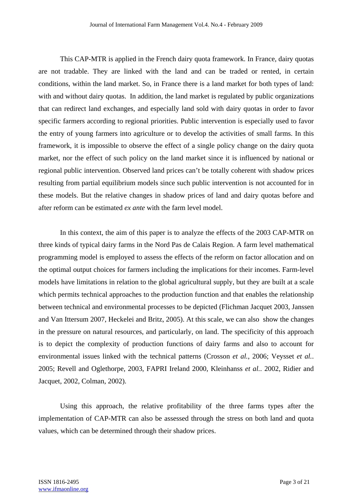This CAP-MTR is applied in the French dairy quota framework. In France, dairy quotas are not tradable. They are linked with the land and can be traded or rented, in certain conditions, within the land market. So, in France there is a land market for both types of land: with and without dairy quotas. In addition, the land market is regulated by public organizations that can redirect land exchanges, and especially land sold with dairy quotas in order to favor specific farmers according to regional priorities. Public intervention is especially used to favor the entry of young farmers into agriculture or to develop the activities of small farms. In this framework, it is impossible to observe the effect of a single policy change on the dairy quota market, nor the effect of such policy on the land market since it is influenced by national or regional public intervention. Observed land prices can't be totally coherent with shadow prices resulting from partial equilibrium models since such public intervention is not accounted for in these models. But the relative changes in shadow prices of land and dairy quotas before and after reform can be estimated *ex ante* with the farm level model.

 In this context, the aim of this paper is to analyze the effects of the 2003 CAP-MTR on three kinds of typical dairy farms in the Nord Pas de Calais Region. A farm level mathematical programming model is employed to assess the effects of the reform on factor allocation and on the optimal output choices for farmers including the implications for their incomes. Farm-level models have limitations in relation to the global agricultural supply, but they are built at a scale which permits technical approaches to the production function and that enables the relationship between technical and environmental processes to be depicted (Flichman Jacquet 2003, Janssen and Van Ittersum 2007, Heckelei and Britz, 2005). At this scale, we can also show the changes in the pressure on natural resources, and particularly, on land. The specificity of this approach is to depict the complexity of production functions of dairy farms and also to account for environmental issues linked with the technical patterns (Crosson *et al.*, 2006; Veysset *et al.*. 2005; Revell and Oglethorpe, 2003, FAPRI Ireland 2000, Kleinhanss *et al.*. 2002, Ridier and Jacquet, 2002, Colman, 2002).

 Using this approach, the relative profitability of the three farms types after the implementation of CAP-MTR can also be assessed through the stress on both land and quota values, which can be determined through their shadow prices.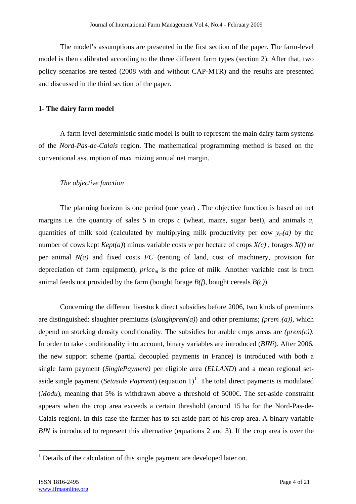The model's assumptions are presented in the first section of the paper. The farm-level model is then calibrated according to the three different farm types (section 2). After that, two policy scenarios are tested (2008 with and without CAP-MTR) and the results are presented and discussed in the third section of the paper.

### **1- The dairy farm model**

A farm level deterministic static model is built to represent the main dairy farm systems of the *Nord-Pas-de-Calais* region. The mathematical programming method is based on the conventional assumption of maximizing annual net margin.

### *The objective function*

The planning horizon is one period (one year) . The objective function is based on net margins i.e. the quantity of sales *S* in crops *c* (wheat, maize, sugar beet), and animals *a,*  quantities of milk sold (calculated by multiplying milk productivity per cow  $y_m(a)$  by the number of cows kept *Kept(a)*) minus variable costs *w* per hectare of crops *X(c) ,* forages *X(f)* or per animal *N(a)* and fixed costs *FC* (renting of land, cost of machinery, provision for depreciation of farm equipment), *pricem* is the price of milk. Another variable cost is from animal feeds not provided by the farm (bought forage *B(f)*, bought cereals *B(c)*).

 Concerning the different livestock direct subsidies before 2006, two kinds of premiums are distinguished: slaughter premiums (*slaughprem(a)*) and other premiums; *(prem i(a)),* which depend on stocking density conditionality. The subsidies for arable crops areas are *(prem(c))*. In order to take conditionality into account, binary variables are introduced (*BINi*). After 2006, the new support scheme (partial decoupled payments in France) is introduced with both a single farm payment (*SinglePayment)* per eligible area (*ELLAND*) and a mean regional setaside single payment (*Setaside Payment*) (equation  $1$ )<sup>1</sup>. The total direct payments is modulated (*Modu*), meaning that 5% is withdrawn above a threshold of 5000 $\epsilon$ . The set-aside constraint appears when the crop area exceeds a certain threshold (around 15 ha for the Nord-Pas-de-Calais region). In this case the farmer has to set aside part of his crop area. A binary variable *BIN* is introduced to represent this alternative (equations 2 and 3). If the crop area is over the

<sup>&</sup>lt;sup>1</sup> Details of the calculation of this single payment are developed later on.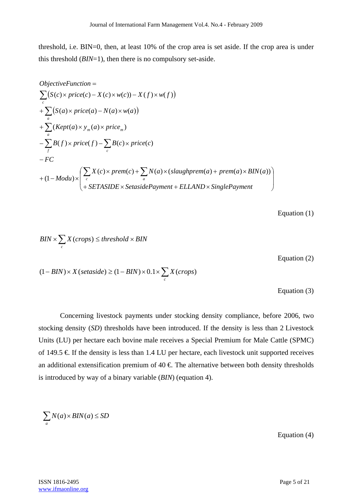threshold, i.e. BIN=0, then, at least 10% of the crop area is set aside. If the crop area is under this threshold (*BIN*=1), then there is no compulsory set-aside.

$$
ObjectiveFunction =
$$
\n
$$
\sum_{c} (S(c) \times price(c) - X(c) \times w(c)) - X(f) \times w(f))
$$
\n
$$
+ \sum_{a} (S(a) \times price(a) - N(a) \times w(a))
$$
\n
$$
+ \sum_{a} (Kept(a) \times y_m(a) \times price_m)
$$
\n
$$
- \sum_{f} B(f) \times price(f) - \sum_{c} B(c) \times price(c)
$$
\n
$$
- FC
$$
\n
$$
+ (1 - Modu) \times \left( \sum_{c} X(c) \times prem(c) + \sum_{a} N(a) \times (slaughprem(a) + prem(a) \times BIN(a)) \right)
$$
\n
$$
+ SETASIDE \times SetsidePayment + ELLAND \times SinglePayment \right)
$$

Equation (1)

$$
BIN \times \sum_{c} X(crops) \le threshold \times BIN
$$
  
Equation (2)  

$$
(1 - BIN) \times X(setaside) \ge (1 - BIN) \times 0.1 \times \sum_{c} X(crops)
$$
  
Equation (3)

 Concerning livestock payments under stocking density compliance, before 2006, two stocking density (*SD*) thresholds have been introduced. If the density is less than 2 Livestock Units (LU) per hectare each bovine male receives a Special Premium for Male Cattle (SPMC) of 149.5  $\in$  If the density is less than 1.4 LU per hectare, each livestock unit supported receives an additional extensification premium of  $40 \text{ } \in \text{ The alternative between both density thresholds}$ is introduced by way of a binary variable (*BIN*) (equation 4).

$$
\sum_{a} N(a) \times BIN(a) \le SD
$$

Equation (4)

**ISSN 1816-2495** Page 5 of 21 www.ifmaonline.org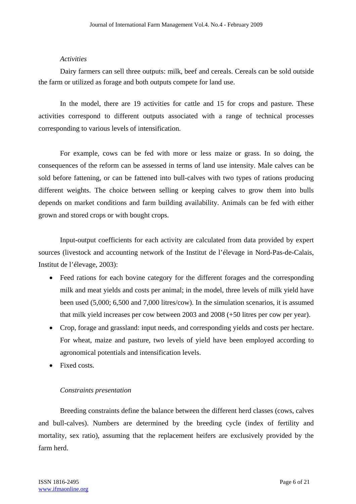#### *Activities*

Dairy farmers can sell three outputs: milk, beef and cereals. Cereals can be sold outside the farm or utilized as forage and both outputs compete for land use.

 In the model, there are 19 activities for cattle and 15 for crops and pasture. These activities correspond to different outputs associated with a range of technical processes corresponding to various levels of intensification.

 For example, cows can be fed with more or less maize or grass. In so doing, the consequences of the reform can be assessed in terms of land use intensity. Male calves can be sold before fattening, or can be fattened into bull-calves with two types of rations producing different weights. The choice between selling or keeping calves to grow them into bulls depends on market conditions and farm building availability. Animals can be fed with either grown and stored crops or with bought crops.

 Input-output coefficients for each activity are calculated from data provided by expert sources (livestock and accounting network of the Institut de l'élevage in Nord-Pas-de-Calais, Institut de l'élevage, 2003):

- Feed rations for each bovine category for the different forages and the corresponding milk and meat yields and costs per animal; in the model, three levels of milk yield have been used (5,000; 6,500 and 7,000 litres/cow). In the simulation scenarios, it is assumed that milk yield increases per cow between 2003 and 2008 (+50 litres per cow per year).
- Crop, forage and grassland: input needs, and corresponding yields and costs per hectare. For wheat, maize and pasture, two levels of yield have been employed according to agronomical potentials and intensification levels.
- Fixed costs.

### *Constraints presentation*

Breeding constraints define the balance between the different herd classes (cows, calves and bull-calves). Numbers are determined by the breeding cycle (index of fertility and mortality, sex ratio), assuming that the replacement heifers are exclusively provided by the farm herd.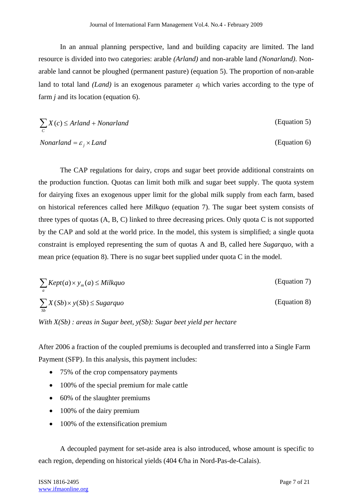In an annual planning perspective, land and building capacity are limited. The land resource is divided into two categories: arable *(Arland)* and non-arable land *(Nonarland)*. Nonarable land cannot be ploughed (permanent pasture) (equation 5). The proportion of non-arable land to total land *(Land)* is an exogenous parameter  $\varepsilon$  which varies according to the type of farm *j* and its location (equation 6).

$$
\sum_{c} X(c) \leq Arland + Nonarland
$$
 (Equation 5)

*Nonarland* =  $\varepsilon$ ,  $\times$  *Land* (Equation 6)

 The CAP regulations for dairy, crops and sugar beet provide additional constraints on the production function. Quotas can limit both milk and sugar beet supply. The quota system for dairying fixes an exogenous upper limit for the global milk supply from each farm, based on historical references called here *Milkquo* (equation 7). The sugar beet system consists of three types of quotas (A, B, C) linked to three decreasing prices. Only quota C is not supported by the CAP and sold at the world price. In the model, this system is simplified; a single quota constraint is employed representing the sum of quotas A and B, called here *Sugarquo,* with a mean price (equation 8). There is no sugar beet supplied under quota C in the model.

$$
\sum_{a} Kept(a) \times y_{m}(a) \leq Milkquo
$$
 (Equation 7)  

$$
\sum_{sb} X(Sb) \times y(Sb) \leq Sugarquo
$$
 (Equation 8)

*With X(Sb) : areas in Sugar beet, y(Sb): Sugar beet yield per hectare* 

After 2006 a fraction of the coupled premiums is decoupled and transferred into a Single Farm Payment (SFP). In this analysis, this payment includes:

- 75% of the crop compensatory payments
- 100% of the special premium for male cattle
- 60% of the slaughter premiums
- 100% of the dairy premium
- 100% of the extensification premium

 A decoupled payment for set-aside area is also introduced, whose amount is specific to each region, depending on historical yields (404 €/ha in Nord-Pas-de-Calais).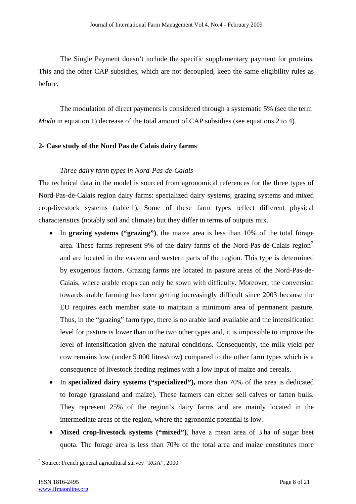The Single Payment doesn't include the specific supplementary payment for proteins. This and the other CAP subsidies, which are not decoupled, keep the same eligibility rules as before.

 The modulation of direct payments is considered through a systematic 5% (see the term *Modu* in equation 1) decrease of the total amount of CAP subsidies (see equations 2 to 4).

### **2- Case study of the Nord Pas de Calais dairy farms**

### *Three dairy farm types in Nord-Pas-de-Calais*

The technical data in the model is sourced from agronomical references for the three types of Nord-Pas-de-Calais region dairy farms: specialized dairy systems, grazing systems and mixed crop-livestock systems (table 1). Some of these farm types reflect different physical characteristics (notably soil and climate) but they differ in terms of outputs mix.

- In **grazing systems ("grazing")**, the maize area is less than 10% of the total forage area. These farms represent 9% of the dairy farms of the Nord-Pas-de-Calais region<sup>2</sup> and are located in the eastern and western parts of the region. This type is determined by exogenous factors. Grazing farms are located in pasture areas of the Nord-Pas-de-Calais, where arable crops can only be sown with difficulty. Moreover, the conversion towards arable farming has been getting increasingly difficult since 2003 because the EU requires each member state to maintain a minimum area of permanent pasture. Thus, in the "grazing" farm type, there is no arable land available and the intensification level for pasture is lower than in the two other types and, it is impossible to improve the level of intensification given the natural conditions. Consequently, the milk yield per cow remains low (under 5 000 litres/cow) compared to the other farm types which is a consequence of livestock feeding regimes with a low input of maize and cereals.
- In **specialized dairy systems ("specialized"),** more than 70% of the area is dedicated to forage (grassland and maize). These farmers can either sell calves or fatten bulls. They represent 25% of the region's dairy farms and are mainly located in the intermediate areas of the region, where the agronomic potential is low.
- **Mixed crop-livestock systems ("mixed")**, have a mean area of 3 ha of sugar beet quota. The forage area is less than 70% of the total area and maize constitutes more

<sup>&</sup>lt;sup>2</sup> Source: French general agricultural survey "RGA", 2000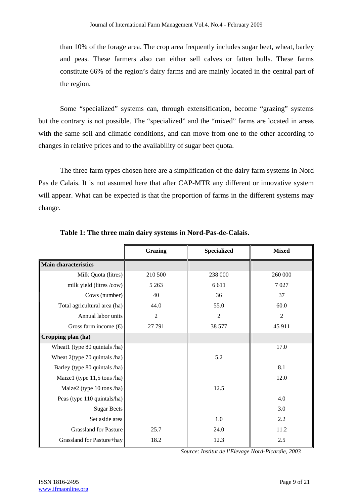than 10% of the forage area. The crop area frequently includes sugar beet, wheat, barley and peas. These farmers also can either sell calves or fatten bulls. These farms constitute 66% of the region's dairy farms and are mainly located in the central part of the region.

 Some "specialized" systems can, through extensification, become "grazing" systems but the contrary is not possible. The "specialized" and the "mixed" farms are located in areas with the same soil and climatic conditions, and can move from one to the other according to changes in relative prices and to the availability of sugar beet quota.

 The three farm types chosen here are a simplification of the dairy farm systems in Nord Pas de Calais. It is not assumed here that after CAP-MTR any different or innovative system will appear. What can be expected is that the proportion of farms in the different systems may change.

|                                  | <b>Grazing</b> | <b>Specialized</b> | <b>Mixed</b>   |
|----------------------------------|----------------|--------------------|----------------|
| <b>Main characteristics</b>      |                |                    |                |
| Milk Quota (litres)              | 210 500        | 238 000            | 260 000        |
| milk yield (litres /cow)         | 5 2 6 3        | 6 6 1 1            | 7027           |
| Cows (number)                    | 40             | 36                 | 37             |
| Total agricultural area (ha)     | 44.0           | 55.0               | 60.0           |
| Annual labor units               | $\overline{2}$ | $\overline{2}$     | $\overline{2}$ |
| Gross farm income $(\bigoplus$   | 27 791         | 38 577             | 45 911         |
| Cropping plan (ha)               |                |                    |                |
| Wheat1 (type 80 quintals /ha)    |                |                    | 17.0           |
| Wheat $2$ (type 70 quintals /ha) |                | 5.2                |                |
| Barley (type 80 quintals /ha)    |                |                    | 8.1            |
| Maize1 (type $11,5$ tons /ha)    |                |                    | 12.0           |
| Maize2 (type 10 tons /ha)        |                | 12.5               |                |
| Peas (type 110 quintals/ha)      |                |                    | 4.0            |
| <b>Sugar Beets</b>               |                |                    | 3.0            |
| Set aside area                   |                | 1.0                | 2.2            |
| <b>Grassland for Pasture</b>     | 25.7           | 24.0               | 11.2           |
| Grassland for Pasture+hay        | 18.2           | 12.3               | 2.5            |

 **Table 1: The three main dairy systems in Nord-Pas-de-Calais.** 

*Source: Institut de l'Elevage Nord-Picardie, 2003*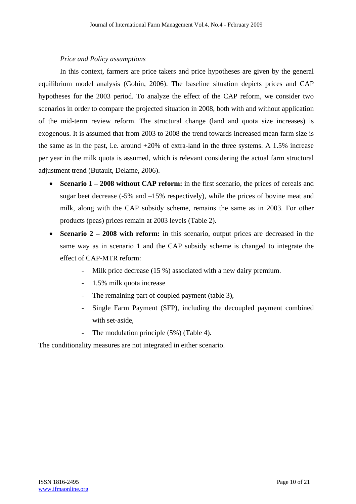### *Price and Policy assumptions*

 In this context, farmers are price takers and price hypotheses are given by the general equilibrium model analysis (Gohin, 2006). The baseline situation depicts prices and CAP hypotheses for the 2003 period. To analyze the effect of the CAP reform, we consider two scenarios in order to compare the projected situation in 2008, both with and without application of the mid-term review reform. The structural change (land and quota size increases) is exogenous. It is assumed that from 2003 to 2008 the trend towards increased mean farm size is the same as in the past, i.e. around +20% of extra-land in the three systems. A 1.5% increase per year in the milk quota is assumed, which is relevant considering the actual farm structural adjustment trend (Butault, Delame, 2006).

- **Scenario 1 2008 without CAP reform:** in the first scenario, the prices of cereals and sugar beet decrease  $(-5\%$  and  $-15\%$  respectively), while the prices of bovine meat and milk, along with the CAP subsidy scheme, remains the same as in 2003. For other products (peas) prices remain at 2003 levels (Table 2).
- **Scenario 2 2008 with reform:** in this scenario, output prices are decreased in the same way as in scenario 1 and the CAP subsidy scheme is changed to integrate the effect of CAP-MTR reform:
	- Milk price decrease (15 %) associated with a new dairy premium.
	- 1.5% milk quota increase
	- The remaining part of coupled payment (table 3),
	- Single Farm Payment (SFP), including the decoupled payment combined with set-aside,
	- The modulation principle (5%) (Table 4).

The conditionality measures are not integrated in either scenario.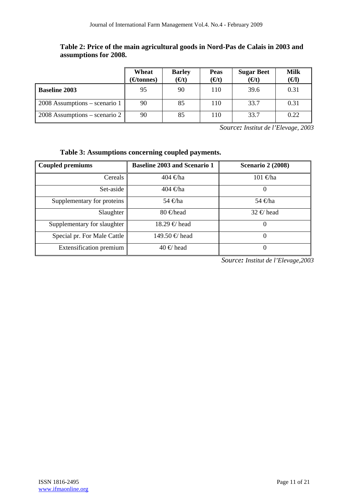## **Table 2: Price of the main agricultural goods in Nord-Pas de Calais in 2003 and assumptions for 2008.**

|                                 | Wheat<br>(€tonnes) | <b>Barley</b><br>$(\Theta t)$ | <b>Peas</b><br>(€t) | <b>Sugar Beet</b><br>$(\Theta t)$ | Milk<br>(€I) |
|---------------------------------|--------------------|-------------------------------|---------------------|-----------------------------------|--------------|
| <b>Baseline 2003</b>            | 95                 | 90                            | 110                 | 39.6                              | 0.31         |
| $2008$ Assumptions – scenario 1 | 90                 | 85                            | 110                 | 33.7                              | 0.31         |
| $2008$ Assumptions – scenario 2 | 90                 | 85                            | 110                 | 33.7                              | 0.22         |

*Source: Institut de l'Elevage, 2003*

# **Table 3: Assumptions concerning coupled payments.**

| <b>Coupled premiums</b>     | <b>Baseline 2003 and Scenario 1</b> | <b>Scenario 2 (2008)</b> |
|-----------------------------|-------------------------------------|--------------------------|
| Cereals                     | 404 €ha                             | 101 €ha                  |
| Set-aside                   | $404 \n∈$ ha                        | O                        |
| Supplementary for proteins  | 54 €ha                              | 54 €ha                   |
| Slaughter                   | $80 \in$ head                       | $32 \notin$ head         |
| Supplementary for slaughter | $18.29 \in \text{head}$             | O                        |
| Special pr. For Male Cattle | 149.50 € head                       | 0                        |
| Extensification premium     | $40 \in \text{head}$                | 0                        |

*Source: Institut de l'Elevage,2003*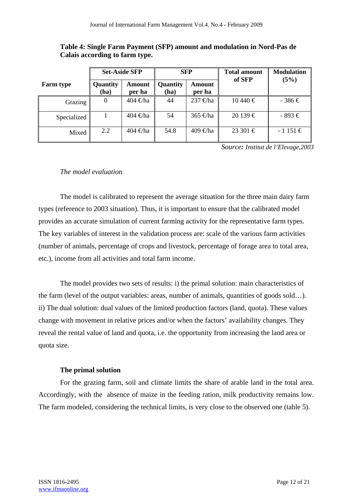| Table 4: Single Farm Payment (SFP) amount and modulation in Nord-Pas de |  |  |
|-------------------------------------------------------------------------|--|--|
| Calais according to farm type.                                          |  |  |

|                  |                  | <b>Set-Aside SFP</b> | <b>SFP</b>       |                    | <b>Total amount</b><br>of SFP |             |
|------------------|------------------|----------------------|------------------|--------------------|-------------------------------|-------------|
| <b>Farm type</b> | Quantity<br>(ha) | Amount<br>per ha     | Quantity<br>(ha) | Amount<br>per ha   |                               | (5%)        |
| Grazing          | $\boldsymbol{0}$ | 404 $\not\in$ ha     | 44               | 237 €ha            | $10440 \in$                   | $-386 \in$  |
| Specialized      |                  | 404 $\not\in$ ha     | 54               | 365 $\bigoplus$ ha | $20139 \in$                   | $-893 \in$  |
| Mixed            | 2.2              | $404 \oplus$ ha      | 54.8             | 409 $\bigoplus$ ha | $23301 \in$                   | $-1151 \in$ |

*Source: Institut de l'Elevage,2003*

### *The model evaluation*

 The model is calibrated to represent the average situation for the three main dairy farm types (reference to 2003 situation). Thus, it is important to ensure that the calibrated model provides an accurate simulation of current farming activity for the representative farm types. The key variables of interest in the validation process are: scale of the various farm activities (number of animals, percentage of crops and livestock, percentage of forage area to total area, etc.), income from all activities and total farm income.

 The model provides two sets of results: i) the primal solution: main characteristics of the farm (level of the output variables: areas, number of animals, quantities of goods sold…). ii) The dual solution: dual values of the limited production factors (land, quota). These values change with movement in relative prices and/or when the factors' availability changes. They reveal the rental value of land and quota, i.e. the opportunity from increasing the land area or quota size.

### **The primal solution**

 For the grazing farm, soil and climate limits the share of arable land in the total area. Accordingly, with the absence of maize in the feeding ration, milk productivity remains low. The farm modeled, considering the technical limits, is very close to the observed one (table 5).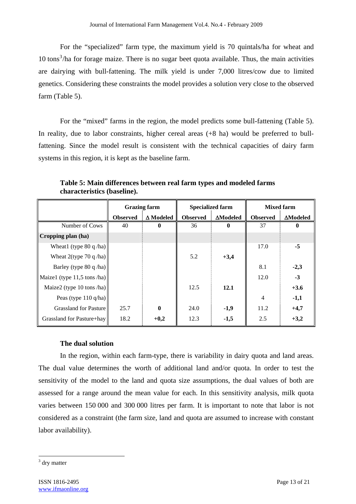For the "specialized" farm type, the maximum yield is 70 quintals/ha for wheat and  $10 \text{ tons}^3$ /ha for forage maize. There is no sugar beet quota available. Thus, the main activities are dairying with bull-fattening. The milk yield is under 7,000 litres/cow due to limited genetics. Considering these constraints the model provides a solution very close to the observed farm (Table 5).

 For the "mixed" farms in the region, the model predicts some bull-fattening (Table 5). In reality, due to labor constraints, higher cereal areas (+8 ha) would be preferred to bullfattening. Since the model result is consistent with the technical capacities of dairy farm systems in this region, it is kept as the baseline farm.

|                               | <b>Grazing farm</b> |                  | <b>Specialized farm</b> |                  | <b>Mixed farm</b> |                 |
|-------------------------------|---------------------|------------------|-------------------------|------------------|-------------------|-----------------|
|                               | <b>Observed</b>     | $\Delta$ Modeled | <b>Observed</b>         | $\Delta$ Modeled | <b>Observed</b>   | <b>ΔModeled</b> |
| Number of Cows                | 40                  | 0                | 36                      | 0                | 37                | $\bf{0}$        |
| Cropping plan (ha)            |                     |                  |                         |                  |                   |                 |
| Wheat1 (type $80q/ha$ )       |                     |                  |                         |                  | 17.0              | $-5$            |
| Wheat $2$ (type 70 q /ha)     |                     |                  | 5.2                     | $+3,4$           |                   |                 |
| Barley (type 80 q /ha)        |                     |                  |                         |                  | 8.1               | $-2,3$          |
| Maize1 (type $11,5$ tons /ha) |                     |                  |                         |                  | 12.0              | $-3$            |
| Maize2 (type $10$ tons /ha)   |                     |                  | 12.5                    | 12.1             |                   | $+3.6$          |
| Peas (type $110$ q/ha)        |                     |                  |                         |                  | $\overline{4}$    | $-1,1$          |
| <b>Grassland for Pasture</b>  | 25.7                | $\bf{0}$         | 24.0                    | $-1,9$           | 11.2              | $+4,7$          |
| Grassland for Pasture+hay     | 18.2                | $+0,2$           | 12.3                    | $-1,5$           | 2.5               | $+3,2$          |

 **Table 5: Main differences between real farm types and modeled farms characteristics (baseline).** 

### **The dual solution**

In the region, within each farm-type, there is variability in dairy quota and land areas. The dual value determines the worth of additional land and/or quota. In order to test the sensitivity of the model to the land and quota size assumptions, the dual values of both are assessed for a range around the mean value for each. In this sensitivity analysis, milk quota varies between 150 000 and 300 000 litres per farm. It is important to note that labor is not considered as a constraint (the farm size, land and quota are assumed to increase with constant labor availability).

<sup>&</sup>lt;sup>3</sup> dry matter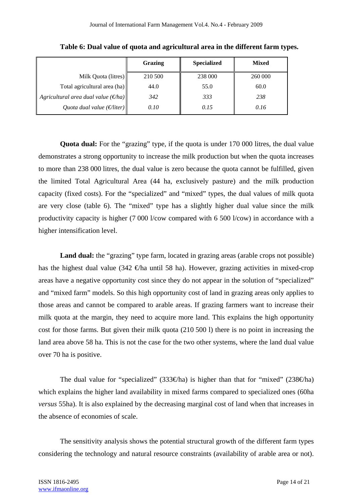|                                                | Grazing | <b>Specialized</b> | <b>Mixed</b> |
|------------------------------------------------|---------|--------------------|--------------|
| Milk Quota (litres)                            | 210 500 | 238 000            | 260 000      |
| Total agricultural area (ha)                   | 44.0    | 55.0               | 60.0         |
| Agricultural area dual value $(\epsilon / ha)$ | 342     | 333                | 238          |
| Quota dual value ( $\epsilon$ /liter)          | 0.10    | 0.15               | 0.16         |

 **Table 6: Dual value of quota and agricultural area in the different farm types.** 

 **Quota dual:** For the "grazing" type, if the quota is under 170 000 litres, the dual value demonstrates a strong opportunity to increase the milk production but when the quota increases to more than 238 000 litres, the dual value is zero because the quota cannot be fulfilled, given the limited Total Agricultural Area (44 ha, exclusively pasture) and the milk production capacity (fixed costs). For the "specialized" and "mixed" types, the dual values of milk quota are very close (table 6). The "mixed" type has a slightly higher dual value since the milk productivity capacity is higher (7 000 l/cow compared with 6 500 l/cow) in accordance with a higher intensification level.

Land dual: the "grazing" type farm, located in grazing areas (arable crops not possible) has the highest dual value (342  $\epsilon$ ) has until 58 ha). However, grazing activities in mixed-crop areas have a negative opportunity cost since they do not appear in the solution of "specialized" and "mixed farm" models. So this high opportunity cost of land in grazing areas only applies to those areas and cannot be compared to arable areas. If grazing farmers want to increase their milk quota at the margin, they need to acquire more land. This explains the high opportunity cost for those farms. But given their milk quota (210 500 l) there is no point in increasing the land area above 58 ha. This is not the case for the two other systems, where the land dual value over 70 ha is positive.

The dual value for "specialized" (333€ha) is higher than that for "mixed" (238€ha) which explains the higher land availability in mixed farms compared to specialized ones (60ha *versus* 55ha). It is also explained by the decreasing marginal cost of land when that increases in the absence of economies of scale.

 The sensitivity analysis shows the potential structural growth of the different farm types considering the technology and natural resource constraints (availability of arable area or not).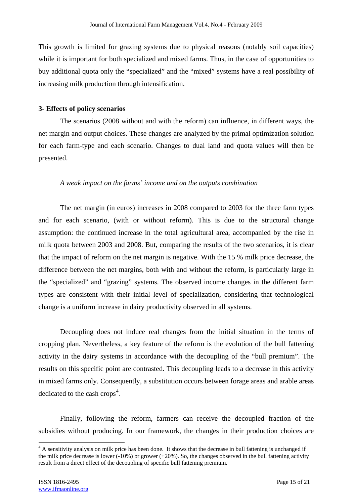This growth is limited for grazing systems due to physical reasons (notably soil capacities) while it is important for both specialized and mixed farms. Thus, in the case of opportunities to buy additional quota only the "specialized" and the "mixed" systems have a real possibility of increasing milk production through intensification.

### **3- Effects of policy scenarios**

 The scenarios (2008 without and with the reform) can influence, in different ways, the net margin and output choices. These changes are analyzed by the primal optimization solution for each farm-type and each scenario. Changes to dual land and quota values will then be presented.

### *A weak impact on the farms' income and on the outputs combination*

 The net margin (in euros) increases in 2008 compared to 2003 for the three farm types and for each scenario, (with or without reform). This is due to the structural change assumption: the continued increase in the total agricultural area, accompanied by the rise in milk quota between 2003 and 2008. But, comparing the results of the two scenarios, it is clear that the impact of reform on the net margin is negative. With the 15 % milk price decrease, the difference between the net margins, both with and without the reform, is particularly large in the "specialized" and "grazing" systems. The observed income changes in the different farm types are consistent with their initial level of specialization, considering that technological change is a uniform increase in dairy productivity observed in all systems.

 Decoupling does not induce real changes from the initial situation in the terms of cropping plan. Nevertheless, a key feature of the reform is the evolution of the bull fattening activity in the dairy systems in accordance with the decoupling of the "bull premium". The results on this specific point are contrasted. This decoupling leads to a decrease in this activity in mixed farms only. Consequently, a substitution occurs between forage areas and arable areas dedicated to the cash crops<sup>4</sup>.

 Finally, following the reform, farmers can receive the decoupled fraction of the subsidies without producing. In our framework, the changes in their production choices are

<sup>&</sup>lt;sup>4</sup> A sensitivity analysis on milk price has been done. It shows that the decrease in bull fattening is unchanged if the milk price decrease is lower (-10%) or grower (+20%). So, the changes observed in the bull fattening activity result from a direct effect of the decoupling of specific bull fattening premium.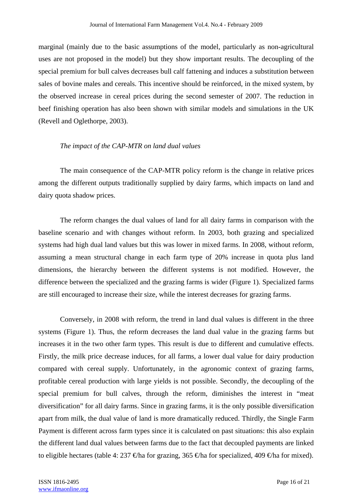marginal (mainly due to the basic assumptions of the model, particularly as non-agricultural uses are not proposed in the model) but they show important results. The decoupling of the special premium for bull calves decreases bull calf fattening and induces a substitution between sales of bovine males and cereals. This incentive should be reinforced, in the mixed system, by the observed increase in cereal prices during the second semester of 2007. The reduction in beef finishing operation has also been shown with similar models and simulations in the UK (Revell and Oglethorpe, 2003).

### *The impact of the CAP-MTR on land dual values*

 The main consequence of the CAP-MTR policy reform is the change in relative prices among the different outputs traditionally supplied by dairy farms, which impacts on land and dairy quota shadow prices.

 The reform changes the dual values of land for all dairy farms in comparison with the baseline scenario and with changes without reform. In 2003, both grazing and specialized systems had high dual land values but this was lower in mixed farms. In 2008, without reform, assuming a mean structural change in each farm type of 20% increase in quota plus land dimensions, the hierarchy between the different systems is not modified. However, the difference between the specialized and the grazing farms is wider (Figure 1). Specialized farms are still encouraged to increase their size, while the interest decreases for grazing farms.

 Conversely, in 2008 with reform, the trend in land dual values is different in the three systems (Figure 1). Thus, the reform decreases the land dual value in the grazing farms but increases it in the two other farm types. This result is due to different and cumulative effects. Firstly, the milk price decrease induces, for all farms, a lower dual value for dairy production compared with cereal supply. Unfortunately, in the agronomic context of grazing farms, profitable cereal production with large yields is not possible. Secondly, the decoupling of the special premium for bull calves, through the reform, diminishes the interest in "meat diversification" for all dairy farms. Since in grazing farms, it is the only possible diversification apart from milk, the dual value of land is more dramatically reduced. Thirdly, the Single Farm Payment is different across farm types since it is calculated on past situations: this also explain the different land dual values between farms due to the fact that decoupled payments are linked to eligible hectares (table 4: 237  $\oplus$ ha for grazing, 365  $\oplus$ ha for specialized, 409  $\oplus$ ha for mixed).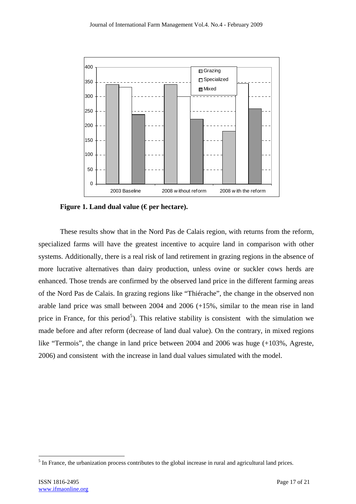

 **Figure 1. Land dual value (€ per hectare).** 

 These results show that in the Nord Pas de Calais region, with returns from the reform, specialized farms will have the greatest incentive to acquire land in comparison with other systems. Additionally, there is a real risk of land retirement in grazing regions in the absence of more lucrative alternatives than dairy production, unless ovine or suckler cows herds are enhanced. Those trends are confirmed by the observed land price in the different farming areas of the Nord Pas de Calais. In grazing regions like "Thiérache", the change in the observed non arable land price was small between 2004 and 2006 (+15%, similar to the mean rise in land price in France, for this period<sup>5</sup>). This relative stability is consistent with the simulation we made before and after reform (decrease of land dual value). On the contrary, in mixed regions like "Termois", the change in land price between 2004 and 2006 was huge (+103%, Agreste, 2006) and consistent with the increase in land dual values simulated with the model.

 $<sup>5</sup>$  In France, the urbanization process contributes to the global increase in rural and agricultural land prices.</sup>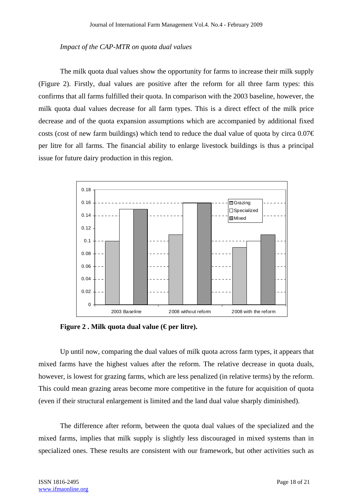### *Impact of the CAP-MTR on quota dual values*

 The milk quota dual values show the opportunity for farms to increase their milk supply (Figure 2). Firstly, dual values are positive after the reform for all three farm types: this confirms that all farms fulfilled their quota. In comparison with the 2003 baseline, however, the milk quota dual values decrease for all farm types. This is a direct effect of the milk price decrease and of the quota expansion assumptions which are accompanied by additional fixed costs (cost of new farm buildings) which tend to reduce the dual value of quota by circa  $0.07 \in$ per litre for all farms. The financial ability to enlarge livestock buildings is thus a principal issue for future dairy production in this region.



Figure 2. Milk quota dual value (€ per litre).

 Up until now, comparing the dual values of milk quota across farm types, it appears that mixed farms have the highest values after the reform. The relative decrease in quota duals, however, is lowest for grazing farms, which are less penalized (in relative terms) by the reform. This could mean grazing areas become more competitive in the future for acquisition of quota (even if their structural enlargement is limited and the land dual value sharply diminished).

 The difference after reform, between the quota dual values of the specialized and the mixed farms, implies that milk supply is slightly less discouraged in mixed systems than in specialized ones. These results are consistent with our framework, but other activities such as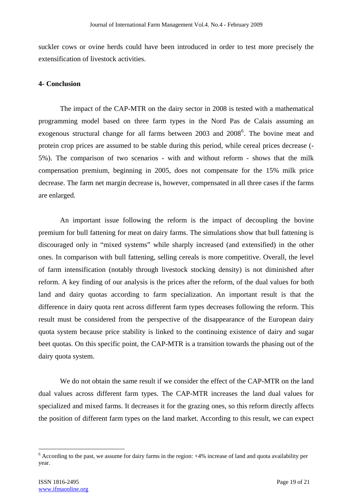suckler cows or ovine herds could have been introduced in order to test more precisely the extensification of livestock activities.

### **4- Conclusion**

 The impact of the CAP-MTR on the dairy sector in 2008 is tested with a mathematical programming model based on three farm types in the Nord Pas de Calais assuming an exogenous structural change for all farms between 2003 and 2008<sup>6</sup>. The bovine meat and protein crop prices are assumed to be stable during this period, while cereal prices decrease (- 5%). The comparison of two scenarios - with and without reform - shows that the milk compensation premium, beginning in 2005, does not compensate for the 15% milk price decrease. The farm net margin decrease is, however, compensated in all three cases if the farms are enlarged.

 An important issue following the reform is the impact of decoupling the bovine premium for bull fattening for meat on dairy farms. The simulations show that bull fattening is discouraged only in "mixed systems" while sharply increased (and extensified) in the other ones. In comparison with bull fattening, selling cereals is more competitive. Overall, the level of farm intensification (notably through livestock stocking density) is not diminished after reform. A key finding of our analysis is the prices after the reform, of the dual values for both land and dairy quotas according to farm specialization. An important result is that the difference in dairy quota rent across different farm types decreases following the reform. This result must be considered from the perspective of the disappearance of the European dairy quota system because price stability is linked to the continuing existence of dairy and sugar beet quotas. On this specific point, the CAP-MTR is a transition towards the phasing out of the dairy quota system.

 We do not obtain the same result if we consider the effect of the CAP-MTR on the land dual values across different farm types. The CAP-MTR increases the land dual values for specialized and mixed farms. It decreases it for the grazing ones, so this reform directly affects the position of different farm types on the land market. According to this result, we can expect

<sup>&</sup>lt;sup>6</sup> According to the past, we assume for dairy farms in the region: +4% increase of land and quota availability per year.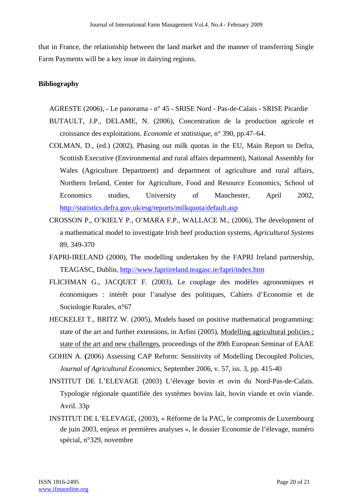that in France, the relationship between the land market and the manner of transferring Single Farm Payments will be a key issue in dairying regions.

### **Bibliography**

- AGRESTE (2006), Le panorama n° 45 SRISE Nord Pas-de-Calais SRISE Picardie
- BUTAULT, J.P., DELAME, N. (2006), Concentration de la production agricole et croissance des exploitations. *Economie et statistique*, n° 390, pp.47–64.
- COLMAN, D., (ed.) (2002), Phasing out milk quotas in the EU, Main Report to Defra, Scottish Executive (Environmental and rural affairs department), National Assembly for Wales (Agriculture Department) and department of agriculture and rural affairs, Northern Ireland, Center for Agriculture, Food and Resource Economics, School of Economics studies, University of Manchester, April 2002, http://statistics.defra.gov.uk/esg/reports/milkquota/default.asp
- CROSSON P., O'KIELY P., O'MARA F.P., WALLACE M., (2006), The development of a mathematical model to investigate Irish beef production systems, *Agricultural Systems* 89, 349-370
- FAPRI-IRELAND (2000), The modelling undertaken by the FAPRI Ireland partnership, TEAGASC, Dublin, http://www.fapriireland.teagasc.ie/fapri/index.htm
- FLICHMAN G., JACQUET F. (2003), Le couplage des modèles agronomiques et économiques : intérêt pour l'analyse des politiques, Cahiers d'Economie et de Sociologie Rurales, n°67
- HECKELEI T., BRITZ W. (2005), Models based on positive mathematical programming: state of the art and further extensions, in Arfini (2005), Modelling agricultural policies ; state of the art and new challenges, proceedings of the 89th European Seminar of EAAE
- GOHIN A. **(**2006) Assessing CAP Reform: Sensitivity of Modelling Decoupled Policies, *Journal of Agricultural Economics*, September 2006, v. 57, iss. 3, pp. 415-40
- INSTITUT DE L'ELEVAGE (2003) L'élevage bovin et ovin du Nord-Pas-de-Calais. Typologie régionale quantifiée des systèmes bovins lait, bovin viande et ovin viande. Avril. 33p
- INSTITUT DE L'ELEVAGE, (2003), « Réforme de la PAC, le compromis de Luxembourg de juin 2003, enjeux et premières analyses », le dossier Economie de l'élevage, numéro spécial, n°329, novembre